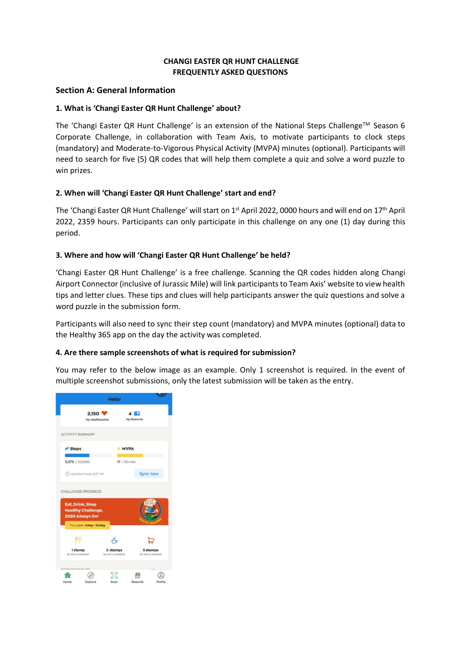## **CHANGI EASTER QR HUNT CHALLENGE FREQUENTLY ASKED QUESTIONS**

## **Section A: General Information**

## **1. What is 'Changi Easter QR Hunt Challenge' about?**

The 'Changi Easter QR Hunt Challenge' is an extension of the National Steps Challenge<sup>TM</sup> Season 6 Corporate Challenge, in collaboration with Team Axis, to motivate participants to clock steps (mandatory) and Moderate-to-Vigorous Physical Activity (MVPA) minutes (optional). Participants will need to search for five (5) QR codes that will help them complete a quiz and solve a word puzzle to win prizes.

## **2. When will 'Changi Easter QR Hunt Challenge' start and end?**

The 'Changi Easter QR Hunt Challenge' will start on 1<sup>st</sup> April 2022, 0000 hours and will end on 17<sup>th</sup> April 2022, 2359 hours. Participants can only participate in this challenge on any one (1) day during this period.

## **3. Where and how will 'Changi Easter QR Hunt Challenge' be held?**

'Changi Easter QR Hunt Challenge' is a free challenge. Scanning the QR codes hidden along Changi Airport Connector (inclusive of Jurassic Mile) will link participantsto Team Axis' website to view health tips and letter clues. These tips and clues will help participants answer the quiz questions and solve a word puzzle in the submission form.

Participants will also need to sync their step count (mandatory) and MVPA minutes (optional) data to the Healthy 365 app on the day the activity was completed.

#### **4. Are there sample screenshots of what is required for submission?**

You may refer to the below image as an example. Only 1 screenshot is required. In the event of multiple screenshot submissions, only the latest submission will be taken as the entry.

|                                                                  |                          | <b>Hello!</b>               |                             |  |
|------------------------------------------------------------------|--------------------------|-----------------------------|-----------------------------|--|
|                                                                  | 2,150<br>My Healthpoints | 4                           | My Rewards                  |  |
| <b>ACTIVITY SUMMARY</b>                                          |                          |                             |                             |  |
| <sup>1</sup> Steps                                               | <b>MVPA</b>              |                             |                             |  |
| 5,375 / 10,000                                                   |                          | 17 / 30 min                 |                             |  |
| 1 Updated today, 9:27 AM                                         |                          |                             | Sync now                    |  |
| CHALLENGE PROGRESS                                               |                          |                             |                             |  |
| Eat, Drink, Shop<br><b>Healthy Challenge,</b><br>2020 Always On! |                          |                             |                             |  |
|                                                                  | This week 4 May - 10 May |                             |                             |  |
|                                                                  |                          |                             |                             |  |
| 1stamp<br>to win a reward                                        |                          | 3 stamps<br>to win a reward | 5 stamps<br>to win a reward |  |
| <b>DOMITO PUPATE</b>                                             |                          |                             |                             |  |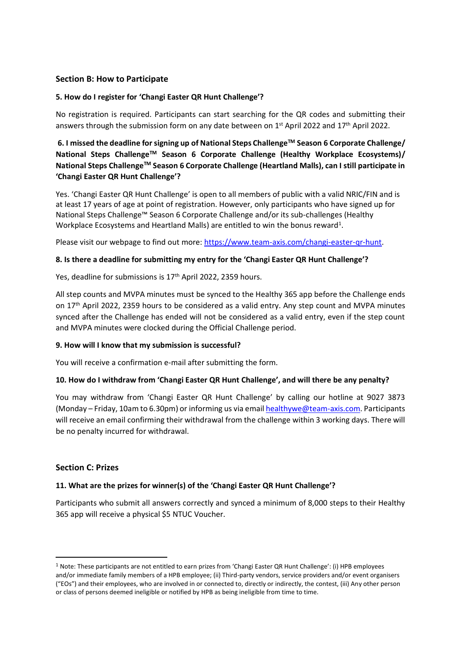## **Section B: How to Participate**

#### **5. How do I register for 'Changi Easter QR Hunt Challenge'?**

No registration is required. Participants can start searching for the QR codes and submitting their answers through the submission form on any date between on  $1<sup>st</sup>$  April 2022 and  $17<sup>th</sup>$  April 2022.

# **6. I missed the deadline for signing up of National Steps ChallengeTM Season 6 Corporate Challenge/ National Steps ChallengeTM Season 6 Corporate Challenge (Healthy Workplace Ecosystems)/ National Steps ChallengeTM Season 6 Corporate Challenge (Heartland Malls), can I still participate in 'Changi Easter QR Hunt Challenge'?**

Yes. 'Changi Easter QR Hunt Challenge' is open to all members of public with a valid NRIC/FIN and is at least 17 years of age at point of registration. However, only participants who have signed up for National Steps Challenge™ Season 6 Corporate Challenge and/or its sub-challenges (Healthy Workplace Ecosystems and Heartland Malls) are entitled to win the bonus reward<sup>1</sup>.

Please visit our webpage to find out more: [https://www.team-axis.com/changi-easter-qr-hunt.](https://www.team-axis.com/changi-easter-qr-hunt)

## **8. Is there a deadline for submitting my entry for the 'Changi Easter QR Hunt Challenge'?**

Yes, deadline for submissions is 17<sup>th</sup> April 2022, 2359 hours.

All step counts and MVPA minutes must be synced to the Healthy 365 app before the Challenge ends on 17th April 2022, 2359 hours to be considered as a valid entry. Any step count and MVPA minutes synced after the Challenge has ended will not be considered as a valid entry, even if the step count and MVPA minutes were clocked during the Official Challenge period.

#### **9. How will I know that my submission is successful?**

You will receive a confirmation e-mail after submitting the form.

#### **10. How do I withdraw from 'Changi Easter QR Hunt Challenge', and will there be any penalty?**

You may withdraw from 'Changi Easter QR Hunt Challenge' by calling our hotline at 9027 3873 (Monday – Friday, 10am to 6.30pm) or informing us via email [healthywe@team-axis.com.](mailto:healthywe@team-axis.com?subject=GPS%20Art%20Challenge) Participants will receive an email confirming their withdrawal from the challenge within 3 working days. There will be no penalty incurred for withdrawal.

# **Section C: Prizes**

# **11. What are the prizes for winner(s) of the 'Changi Easter QR Hunt Challenge'?**

Participants who submit all answers correctly and synced a minimum of 8,000 steps to their Healthy 365 app will receive a physical \$5 NTUC Voucher.

<sup>1</sup> Note: These participants are not entitled to earn prizes from 'Changi Easter QR Hunt Challenge': (i) HPB employees and/or immediate family members of a HPB employee; (ii) Third-party vendors, service providers and/or event organisers ("EOs") and their employees, who are involved in or connected to, directly or indirectly, the contest, (iii) Any other person or class of persons deemed ineligible or notified by HPB as being ineligible from time to time.